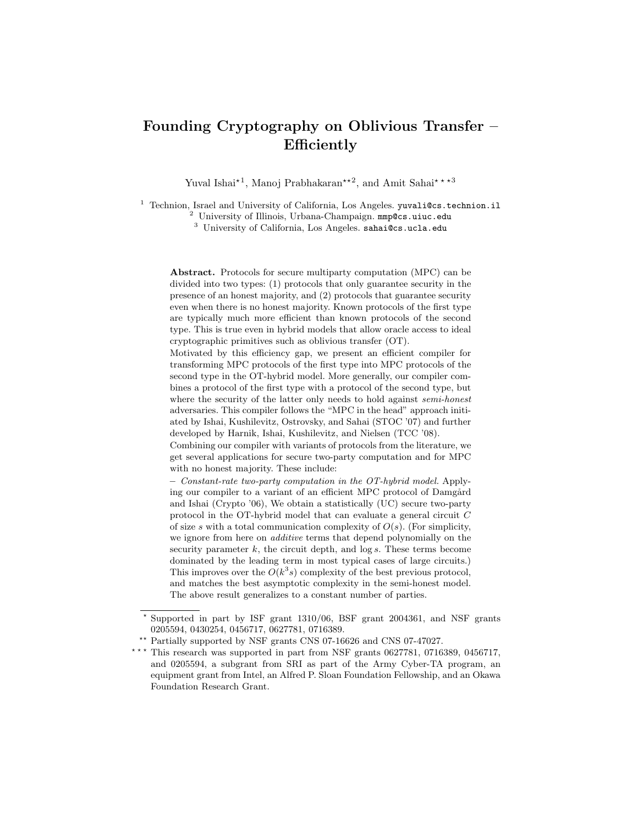# Founding Cryptography on Oblivious Transfer – Efficiently

Yuval Ishai<sup>\*1</sup>, Manoj Prabhakaran<sup>\*\*2</sup>, and Amit Sahai<sup>\*\*\*3</sup>

<sup>1</sup> Technion, Israel and University of California, Los Angeles. yuvali@cs.technion.il

 $2$  University of Illinois, Urbana-Champaign. mmp@cs.uiuc.edu

<sup>3</sup> University of California, Los Angeles. sahai@cs.ucla.edu

Abstract. Protocols for secure multiparty computation (MPC) can be divided into two types: (1) protocols that only guarantee security in the presence of an honest majority, and (2) protocols that guarantee security even when there is no honest majority. Known protocols of the first type are typically much more efficient than known protocols of the second type. This is true even in hybrid models that allow oracle access to ideal cryptographic primitives such as oblivious transfer (OT).

Motivated by this efficiency gap, we present an efficient compiler for transforming MPC protocols of the first type into MPC protocols of the second type in the OT-hybrid model. More generally, our compiler combines a protocol of the first type with a protocol of the second type, but where the security of the latter only needs to hold against semi-honest adversaries. This compiler follows the "MPC in the head" approach initiated by Ishai, Kushilevitz, Ostrovsky, and Sahai (STOC '07) and further developed by Harnik, Ishai, Kushilevitz, and Nielsen (TCC '08).

Combining our compiler with variants of protocols from the literature, we get several applications for secure two-party computation and for MPC with no honest majority. These include:

– Constant-rate two-party computation in the OT-hybrid model. Applying our compiler to a variant of an efficient MPC protocol of Damgård and Ishai (Crypto '06), We obtain a statistically (UC) secure two-party protocol in the OT-hybrid model that can evaluate a general circuit C of size s with a total communication complexity of  $O(s)$ . (For simplicity, we ignore from here on additive terms that depend polynomially on the security parameter  $k$ , the circuit depth, and  $log s$ . These terms become dominated by the leading term in most typical cases of large circuits.) This improves over the  $O(k^3s)$  complexity of the best previous protocol, and matches the best asymptotic complexity in the semi-honest model. The above result generalizes to a constant number of parties.

<sup>?</sup> Supported in part by ISF grant 1310/06, BSF grant 2004361, and NSF grants 0205594, 0430254, 0456717, 0627781, 0716389.

<sup>\*\*</sup> Partially supported by NSF grants CNS 07-16626 and CNS 07-47027.

<sup>\*\*\*</sup> This research was supported in part from NSF grants 0627781, 0716389, 0456717, and 0205594, a subgrant from SRI as part of the Army Cyber-TA program, an equipment grant from Intel, an Alfred P. Sloan Foundation Fellowship, and an Okawa Foundation Research Grant.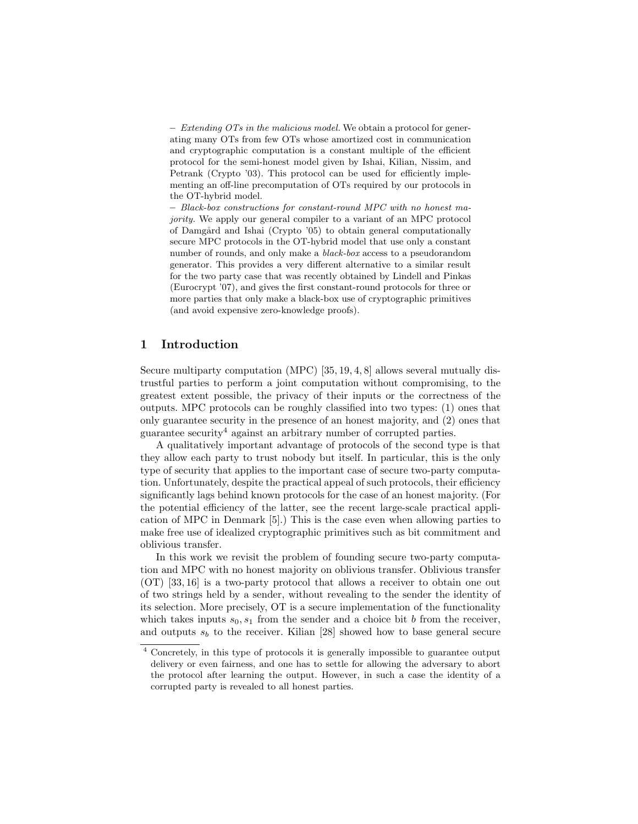– Extending OTs in the malicious model. We obtain a protocol for generating many OTs from few OTs whose amortized cost in communication and cryptographic computation is a constant multiple of the efficient protocol for the semi-honest model given by Ishai, Kilian, Nissim, and Petrank (Crypto '03). This protocol can be used for efficiently implementing an off-line precomputation of OTs required by our protocols in the OT-hybrid model.

– Black-box constructions for constant-round MPC with no honest majority. We apply our general compiler to a variant of an MPC protocol of Damgård and Ishai (Crypto '05) to obtain general computationally secure MPC protocols in the OT-hybrid model that use only a constant number of rounds, and only make a *black-box* access to a pseudorandom generator. This provides a very different alternative to a similar result for the two party case that was recently obtained by Lindell and Pinkas (Eurocrypt '07), and gives the first constant-round protocols for three or more parties that only make a black-box use of cryptographic primitives (and avoid expensive zero-knowledge proofs).

# 1 Introduction

Secure multiparty computation (MPC) [35, 19, 4, 8] allows several mutually distrustful parties to perform a joint computation without compromising, to the greatest extent possible, the privacy of their inputs or the correctness of the outputs. MPC protocols can be roughly classified into two types: (1) ones that only guarantee security in the presence of an honest majority, and (2) ones that guarantee security<sup>4</sup> against an arbitrary number of corrupted parties.

A qualitatively important advantage of protocols of the second type is that they allow each party to trust nobody but itself. In particular, this is the only type of security that applies to the important case of secure two-party computation. Unfortunately, despite the practical appeal of such protocols, their efficiency significantly lags behind known protocols for the case of an honest majority. (For the potential efficiency of the latter, see the recent large-scale practical application of MPC in Denmark [5].) This is the case even when allowing parties to make free use of idealized cryptographic primitives such as bit commitment and oblivious transfer.

In this work we revisit the problem of founding secure two-party computation and MPC with no honest majority on oblivious transfer. Oblivious transfer (OT) [33, 16] is a two-party protocol that allows a receiver to obtain one out of two strings held by a sender, without revealing to the sender the identity of its selection. More precisely, OT is a secure implementation of the functionality which takes inputs  $s_0, s_1$  from the sender and a choice bit b from the receiver, and outputs  $s_b$  to the receiver. Kilian [28] showed how to base general secure

<sup>4</sup> Concretely, in this type of protocols it is generally impossible to guarantee output delivery or even fairness, and one has to settle for allowing the adversary to abort the protocol after learning the output. However, in such a case the identity of a corrupted party is revealed to all honest parties.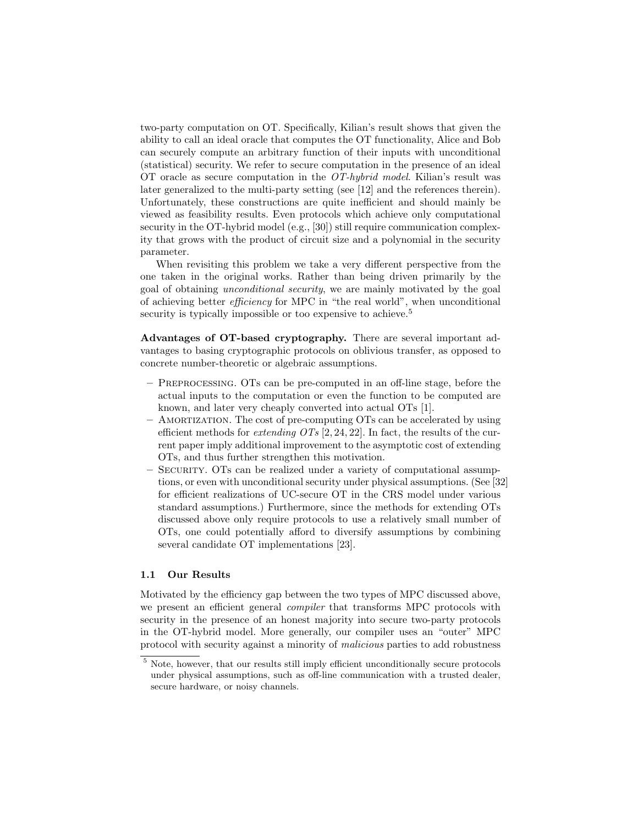two-party computation on OT. Specifically, Kilian's result shows that given the ability to call an ideal oracle that computes the OT functionality, Alice and Bob can securely compute an arbitrary function of their inputs with unconditional (statistical) security. We refer to secure computation in the presence of an ideal OT oracle as secure computation in the  $OT-hybrid \ model$ . Kilian's result was later generalized to the multi-party setting (see [12] and the references therein). Unfortunately, these constructions are quite inefficient and should mainly be viewed as feasibility results. Even protocols which achieve only computational security in the OT-hybrid model (e.g., [30]) still require communication complexity that grows with the product of circuit size and a polynomial in the security parameter.

When revisiting this problem we take a very different perspective from the one taken in the original works. Rather than being driven primarily by the goal of obtaining unconditional security, we are mainly motivated by the goal of achieving better efficiency for MPC in "the real world", when unconditional security is typically impossible or too expensive to achieve.<sup>5</sup>

Advantages of OT-based cryptography. There are several important advantages to basing cryptographic protocols on oblivious transfer, as opposed to concrete number-theoretic or algebraic assumptions.

- Preprocessing. OTs can be pre-computed in an off-line stage, before the actual inputs to the computation or even the function to be computed are known, and later very cheaply converted into actual OTs [1].
- Amortization. The cost of pre-computing OTs can be accelerated by using efficient methods for *extending OTs*  $[2, 24, 22]$ . In fact, the results of the current paper imply additional improvement to the asymptotic cost of extending OTs, and thus further strengthen this motivation.
- Security. OTs can be realized under a variety of computational assumptions, or even with unconditional security under physical assumptions. (See [32] for efficient realizations of UC-secure OT in the CRS model under various standard assumptions.) Furthermore, since the methods for extending OTs discussed above only require protocols to use a relatively small number of OTs, one could potentially afford to diversify assumptions by combining several candidate OT implementations [23].

### 1.1 Our Results

Motivated by the efficiency gap between the two types of MPC discussed above, we present an efficient general compiler that transforms MPC protocols with security in the presence of an honest majority into secure two-party protocols in the OT-hybrid model. More generally, our compiler uses an "outer" MPC protocol with security against a minority of malicious parties to add robustness

 $^5$  Note, however, that our results still imply efficient unconditionally secure protocols under physical assumptions, such as off-line communication with a trusted dealer, secure hardware, or noisy channels.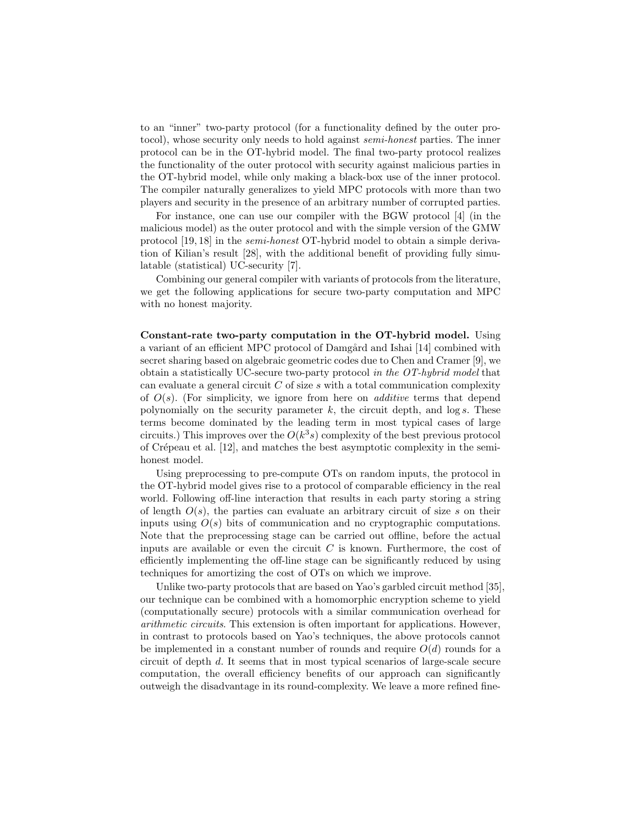to an "inner" two-party protocol (for a functionality defined by the outer protocol), whose security only needs to hold against semi-honest parties. The inner protocol can be in the OT-hybrid model. The final two-party protocol realizes the functionality of the outer protocol with security against malicious parties in the OT-hybrid model, while only making a black-box use of the inner protocol. The compiler naturally generalizes to yield MPC protocols with more than two players and security in the presence of an arbitrary number of corrupted parties.

For instance, one can use our compiler with the BGW protocol [4] (in the malicious model) as the outer protocol and with the simple version of the GMW protocol [19, 18] in the semi-honest OT-hybrid model to obtain a simple derivation of Kilian's result [28], with the additional benefit of providing fully simulatable (statistical) UC-security [7].

Combining our general compiler with variants of protocols from the literature, we get the following applications for secure two-party computation and MPC with no honest majority.

Constant-rate two-party computation in the OT-hybrid model. Using a variant of an efficient MPC protocol of Damgård and Ishai [14] combined with secret sharing based on algebraic geometric codes due to Chen and Cramer [9], we obtain a statistically UC-secure two-party protocol in the OT-hybrid model that can evaluate a general circuit  $C$  of size  $s$  with a total communication complexity of  $O(s)$ . (For simplicity, we ignore from here on *additive* terms that depend polynomially on the security parameter  $k$ , the circuit depth, and  $\log s$ . These terms become dominated by the leading term in most typical cases of large circuits.) This improves over the  $O(k^3s)$  complexity of the best previous protocol of Crépeau et al.  $[12]$ , and matches the best asymptotic complexity in the semihonest model.

Using preprocessing to pre-compute OTs on random inputs, the protocol in the OT-hybrid model gives rise to a protocol of comparable efficiency in the real world. Following off-line interaction that results in each party storing a string of length  $O(s)$ , the parties can evaluate an arbitrary circuit of size s on their inputs using  $O(s)$  bits of communication and no cryptographic computations. Note that the preprocessing stage can be carried out offline, before the actual inputs are available or even the circuit  $C$  is known. Furthermore, the cost of efficiently implementing the off-line stage can be significantly reduced by using techniques for amortizing the cost of OTs on which we improve.

Unlike two-party protocols that are based on Yao's garbled circuit method [35], our technique can be combined with a homomorphic encryption scheme to yield (computationally secure) protocols with a similar communication overhead for arithmetic circuits. This extension is often important for applications. However, in contrast to protocols based on Yao's techniques, the above protocols cannot be implemented in a constant number of rounds and require  $O(d)$  rounds for a circuit of depth d. It seems that in most typical scenarios of large-scale secure computation, the overall efficiency benefits of our approach can significantly outweigh the disadvantage in its round-complexity. We leave a more refined fine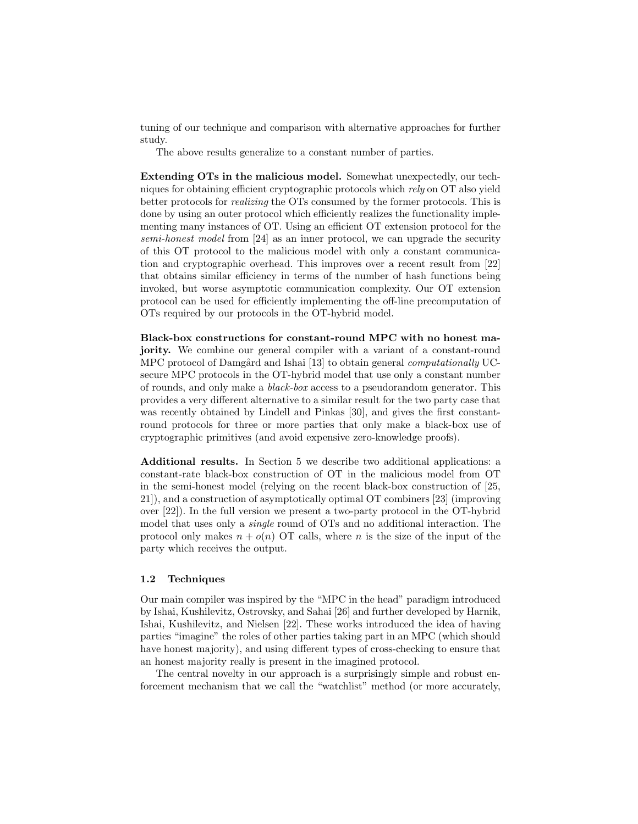tuning of our technique and comparison with alternative approaches for further study.

The above results generalize to a constant number of parties.

Extending OTs in the malicious model. Somewhat unexpectedly, our techniques for obtaining efficient cryptographic protocols which rely on OT also yield better protocols for realizing the OTs consumed by the former protocols. This is done by using an outer protocol which efficiently realizes the functionality implementing many instances of OT. Using an efficient OT extension protocol for the semi-honest model from [24] as an inner protocol, we can upgrade the security of this OT protocol to the malicious model with only a constant communication and cryptographic overhead. This improves over a recent result from [22] that obtains similar efficiency in terms of the number of hash functions being invoked, but worse asymptotic communication complexity. Our OT extension protocol can be used for efficiently implementing the off-line precomputation of OTs required by our protocols in the OT-hybrid model.

Black-box constructions for constant-round MPC with no honest majority. We combine our general compiler with a variant of a constant-round MPC protocol of Damgård and Ishai [13] to obtain general *computationally* UCsecure MPC protocols in the OT-hybrid model that use only a constant number of rounds, and only make a black-box access to a pseudorandom generator. This provides a very different alternative to a similar result for the two party case that was recently obtained by Lindell and Pinkas [30], and gives the first constantround protocols for three or more parties that only make a black-box use of cryptographic primitives (and avoid expensive zero-knowledge proofs).

Additional results. In Section 5 we describe two additional applications: a constant-rate black-box construction of OT in the malicious model from OT in the semi-honest model (relying on the recent black-box construction of [25, 21]), and a construction of asymptotically optimal OT combiners [23] (improving over [22]). In the full version we present a two-party protocol in the OT-hybrid model that uses only a single round of OTs and no additional interaction. The protocol only makes  $n + o(n)$  OT calls, where n is the size of the input of the party which receives the output.

## 1.2 Techniques

Our main compiler was inspired by the "MPC in the head" paradigm introduced by Ishai, Kushilevitz, Ostrovsky, and Sahai [26] and further developed by Harnik, Ishai, Kushilevitz, and Nielsen [22]. These works introduced the idea of having parties "imagine" the roles of other parties taking part in an MPC (which should have honest majority), and using different types of cross-checking to ensure that an honest majority really is present in the imagined protocol.

The central novelty in our approach is a surprisingly simple and robust enforcement mechanism that we call the "watchlist" method (or more accurately,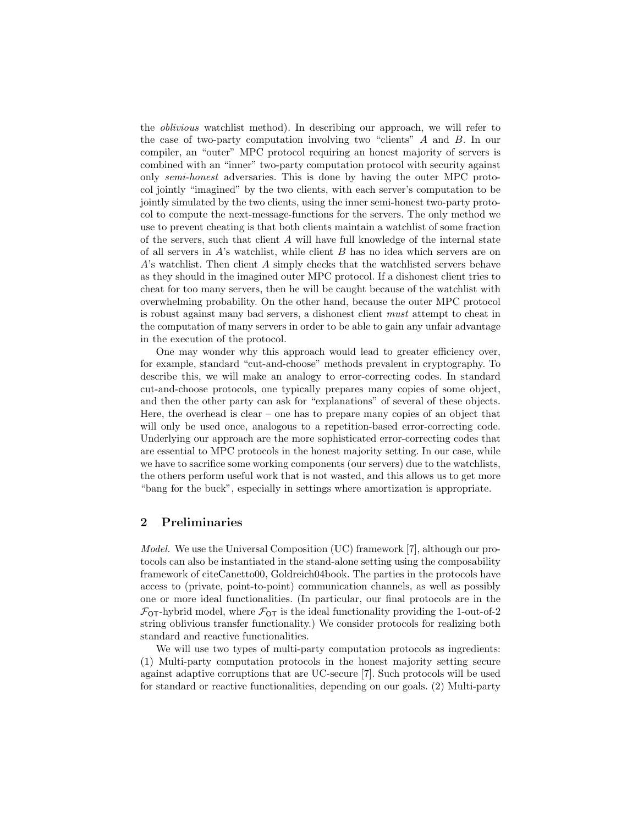the oblivious watchlist method). In describing our approach, we will refer to the case of two-party computation involving two "clients" A and B. In our compiler, an "outer" MPC protocol requiring an honest majority of servers is combined with an "inner" two-party computation protocol with security against only semi-honest adversaries. This is done by having the outer MPC protocol jointly "imagined" by the two clients, with each server's computation to be jointly simulated by the two clients, using the inner semi-honest two-party protocol to compute the next-message-functions for the servers. The only method we use to prevent cheating is that both clients maintain a watchlist of some fraction of the servers, such that client A will have full knowledge of the internal state of all servers in A's watchlist, while client B has no idea which servers are on A's watchlist. Then client A simply checks that the watchlisted servers behave as they should in the imagined outer MPC protocol. If a dishonest client tries to cheat for too many servers, then he will be caught because of the watchlist with overwhelming probability. On the other hand, because the outer MPC protocol is robust against many bad servers, a dishonest client must attempt to cheat in the computation of many servers in order to be able to gain any unfair advantage in the execution of the protocol.

One may wonder why this approach would lead to greater efficiency over, for example, standard "cut-and-choose" methods prevalent in cryptography. To describe this, we will make an analogy to error-correcting codes. In standard cut-and-choose protocols, one typically prepares many copies of some object, and then the other party can ask for "explanations" of several of these objects. Here, the overhead is clear – one has to prepare many copies of an object that will only be used once, analogous to a repetition-based error-correcting code. Underlying our approach are the more sophisticated error-correcting codes that are essential to MPC protocols in the honest majority setting. In our case, while we have to sacrifice some working components (our servers) due to the watchlists, the others perform useful work that is not wasted, and this allows us to get more "bang for the buck", especially in settings where amortization is appropriate.

# 2 Preliminaries

Model. We use the Universal Composition (UC) framework [7], although our protocols can also be instantiated in the stand-alone setting using the composability framework of citeCanetto00, Goldreich04book. The parties in the protocols have access to (private, point-to-point) communication channels, as well as possibly one or more ideal functionalities. (In particular, our final protocols are in the  $\mathcal{F}_{\text{OT}}$ -hybrid model, where  $\mathcal{F}_{\text{OT}}$  is the ideal functionality providing the 1-out-of-2 string oblivious transfer functionality.) We consider protocols for realizing both standard and reactive functionalities.

We will use two types of multi-party computation protocols as ingredients: (1) Multi-party computation protocols in the honest majority setting secure against adaptive corruptions that are UC-secure [7]. Such protocols will be used for standard or reactive functionalities, depending on our goals. (2) Multi-party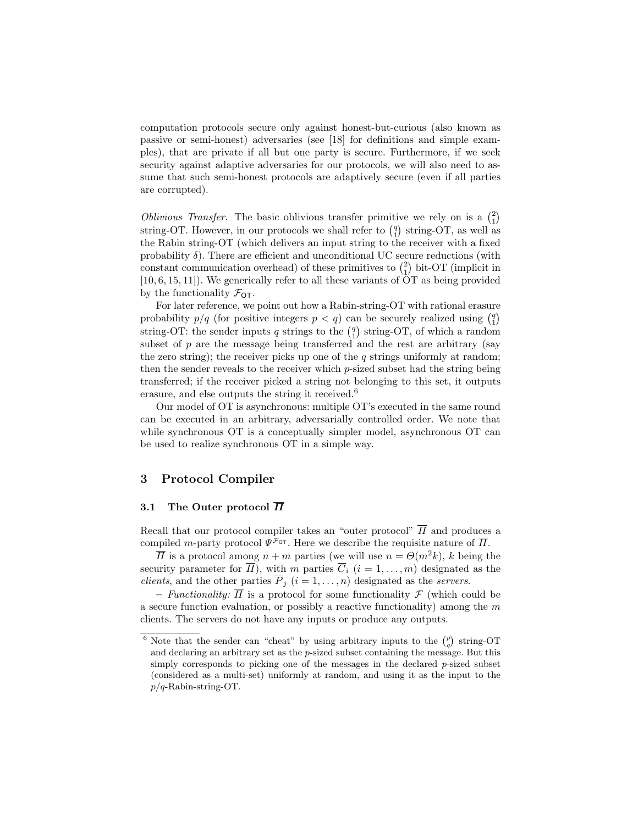computation protocols secure only against honest-but-curious (also known as passive or semi-honest) adversaries (see [18] for definitions and simple examples), that are private if all but one party is secure. Furthermore, if we seek security against adaptive adversaries for our protocols, we will also need to assume that such semi-honest protocols are adaptively secure (even if all parties are corrupted).

*Oblivious Transfer.* The basic oblivious transfer primitive we rely on is a  $\binom{2}{1}$ string-OT. However, in our protocols we shall refer to  $\binom{q}{1}$  string-OT, as well as the Rabin string-OT (which delivers an input string to the receiver with a fixed probability  $\delta$ ). There are efficient and unconditional UC secure reductions (with constant communication overhead) of these primitives to  $\binom{2}{1}$  bit-OT (implicit in [10, 6, 15, 11]). We generically refer to all these variants of OT as being provided by the functionality  $\mathcal{F}_{\text{OT}}$ .

For later reference, we point out how a Rabin-string-OT with rational erasure probability  $p/q$  (for positive integers  $p < q$ ) can be securely realized using  $\binom{q}{1}$ string-OT: the sender inputs q strings to the  $\binom{q}{1}$  string-OT, of which a random subset of  $p$  are the message being transferred and the rest are arbitrary (say the zero string); the receiver picks up one of the q strings uniformly at random; then the sender reveals to the receiver which  $p$ -sized subset had the string being transferred; if the receiver picked a string not belonging to this set, it outputs erasure, and else outputs the string it received.<sup>6</sup>

Our model of OT is asynchronous: multiple OT's executed in the same round can be executed in an arbitrary, adversarially controlled order. We note that while synchronous OT is a conceptually simpler model, asynchronous OT can be used to realize synchronous OT in a simple way.

# 3 Protocol Compiler

#### 3.1 The Outer protocol  $\Pi$

Recall that our protocol compiler takes an "outer protocol"  $\overline{H}$  and produces a compiled m-party protocol  $\Psi^{\mathcal{F}_{\text{OT}}}$ . Here we describe the requisite nature of  $\overline{\Pi}$ .

 $\overline{\Pi}$  is a protocol among  $n + m$  parties (we will use  $n = \Theta(m^2k)$ , k being the security parameter for  $\overline{\Pi}$ ), with m parties  $\overline{C}_i$   $(i = 1, \ldots, m)$  designated as the clients, and the other parties  $\overline{P}_i$   $(i = 1, \ldots, n)$  designated as the servers.

– Functionality:  $\overline{\Pi}$  is a protocol for some functionality  $\mathcal F$  (which could be a secure function evaluation, or possibly a reactive functionality) among the  $m$ clients. The servers do not have any inputs or produce any outputs.

<sup>&</sup>lt;sup>6</sup> Note that the sender can "cheat" by using arbitrary inputs to the  $\binom{p}{q}$  string-OT and declaring an arbitrary set as the p-sized subset containing the message. But this simply corresponds to picking one of the messages in the declared p-sized subset (considered as a multi-set) uniformly at random, and using it as the input to the  $p/q$ -Rabin-string-OT.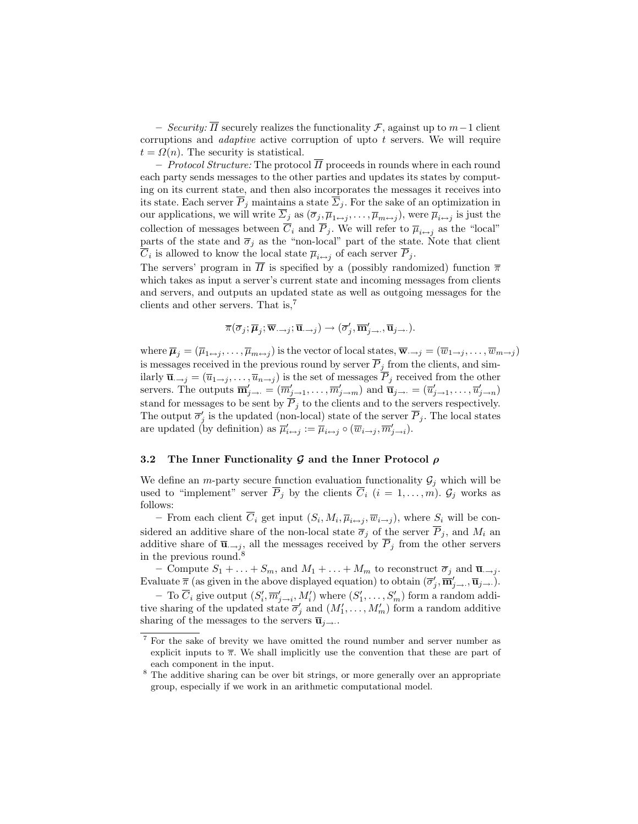– Security:  $\overline{\Pi}$  securely realizes the functionality  $\mathcal{F}$ , against up to m−1 client corruptions and *adaptive* active corruption of upto  $t$  servers. We will require  $t = \Omega(n)$ . The security is statistical.

– Protocol Structure: The protocol  $\overline{\Pi}$  proceeds in rounds where in each round each party sends messages to the other parties and updates its states by computing on its current state, and then also incorporates the messages it receives into its state. Each server  $\overline{P}_j$  maintains a state  $\overline{\Sigma}_j$ . For the sake of an optimization in our applications, we will write  $\overline{\Sigma}_j$  as  $(\overline{\sigma}_j, \overline{\mu}_{1 \leftrightarrow j}, \dots, \overline{\mu}_{m \leftrightarrow j})$ , were  $\overline{\mu}_{i \leftrightarrow j}$  is just the collection of messages between  $\overline{C}_i$  and  $\overline{P}_j$ . We will refer to  $\overline{\mu}_{i\leftrightarrow j}$  as the "local" parts of the state and  $\overline{\sigma}_j$  as the "non-local" part of the state. Note that client  $\overline{C}_i$  is allowed to know the local state  $\overline{\mu}_{i \leftrightarrow j}$  of each server  $\overline{P}_j$ .

The servers' program in  $\overline{\Pi}$  is specified by a (possibly randomized) function  $\overline{\pi}$ which takes as input a server's current state and incoming messages from clients and servers, and outputs an updated state as well as outgoing messages for the clients and other servers. That is,<sup>7</sup>

$$
\overline{\pi}(\overline{\sigma}_j;\overline{\mu}_j;\overline{\mathbf{w}}_{\cdot\rightarrow j};\overline{\mathbf{u}}_{\cdot\rightarrow j})\rightarrow (\overline{\sigma}'_j,\overline{\mathbf{m}}'_{j\rightarrow\cdot},\overline{\mathbf{u}}_{j\rightarrow\cdot}).
$$

where  $\overline{\mu}_j=(\overline{\mu}_{1\leftrightarrow j},\ldots,\overline{\mu}_{m\leftrightarrow j})$  is the vector of local states,  $\overline{\mathbf{w}}_{\cdot\to j}=(\overline{w}_{1\to j},\ldots,\overline{w}_{m\to j})$ is messages received in the previous round by server  $P_j$  from the clients, and similarly  $\overline{\mathbf{u}}_{\cdot\to j} = (\overline{u}_{1\to j}, \dots, \overline{u}_{n\to j})$  is the set of messages  $P_j$  received from the other servers. The outputs  $\overline{\mathbf{m}}'_{j\rightarrow\cdot} = (\overline{m}'_{j\rightarrow 1}, \dots, \overline{m}'_{j\rightarrow m})$  and  $\overline{\mathbf{u}}_{j\rightarrow\cdot} = (\overline{u}'_{j\rightarrow 1}, \dots, \overline{u}'_{j\rightarrow n})$ stand for messages to be sent by  $\overline{P}_j$  to the clients and to the servers respectively. The output  $\overline{\sigma}'_j$  is the updated (non-local) state of the server  $\overline{P}_j$ . The local states are updated (by definition) as  $\overline{\mu}'_{i \leftrightarrow j} := \overline{\mu}_{i \leftrightarrow j} \circ (\overline{w}_{i \to j}, \overline{m}'_{j \to i}).$ 

# 3.2 The Inner Functionality G and the Inner Protocol  $\rho$

We define an *m*-party secure function evaluation functionality  $\mathcal{G}_j$  which will be used to "implement" server  $\overline{P}_i$  by the clients  $\overline{C}_i$   $(i = 1, \ldots, m)$ .  $\mathcal{G}_i$  works as follows:

- From each client  $C_i$  get input  $(S_i, M_i, \overline{\mu}_{i \leftrightarrow j}, \overline{w}_{i \to j})$ , where  $S_i$  will be considered an additive share of the non-local state  $\overline{\sigma}_j$  of the server  $\overline{P}_j$ , and  $M_i$  and additive share of  $\overline{\mathbf{u}} \rightarrow j$ , all the messages received by  $\overline{P}_j$  from the other servers in the previous round.<sup>8</sup>

– Compute  $S_1 + \ldots + S_m$ , and  $M_1 + \ldots + M_m$  to reconstruct  $\overline{\sigma}_j$  and  $\overline{\mathbf{u}}_{\cdot \to j}$ . Evaluate  $\bar{\pi}$  (as given in the above displayed equation) to obtain  $(\bar{\sigma}'_j, \bar{\mathbf{m}}'_{j\rightarrow}$ ,  $\bar{\mathbf{u}}_{j\rightarrow}$ .

- To  $\overline{C}_i$  give output  $(S'_i, \overline{m}'_{j \to i}, M'_i)$  where  $(S'_1, \ldots, S'_m)$  form a random additive sharing of the updated state  $\overline{\sigma}'_j$  and  $(M'_1, \ldots, M'_m)$  form a random additive sharing of the messages to the servers  $\overline{\mathbf{u}}_{j\rightarrow\cdot}$ .

<sup>&</sup>lt;sup>7</sup> For the sake of brevity we have omitted the round number and server number as explicit inputs to  $\bar{\pi}$ . We shall implicitly use the convention that these are part of each component in the input.

<sup>&</sup>lt;sup>8</sup> The additive sharing can be over bit strings, or more generally over an appropriate group, especially if we work in an arithmetic computational model.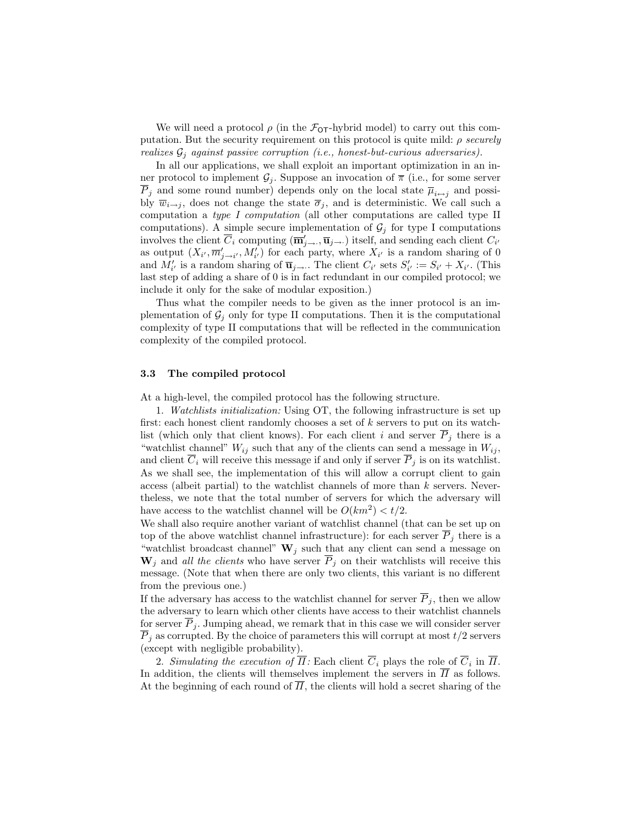We will need a protocol  $\rho$  (in the  $\mathcal{F}_{OT}$ -hybrid model) to carry out this computation. But the security requirement on this protocol is quite mild:  $\rho$  securely realizes  $G_i$  against passive corruption (i.e., honest-but-curious adversaries).

In all our applications, we shall exploit an important optimization in an inner protocol to implement  $\mathcal{G}_i$ . Suppose an invocation of  $\bar{\pi}$  (i.e., for some server  $\overline{P}_j$  and some round number) depends only on the local state  $\overline{\mu}_{i\leftrightarrow j}$  and possibly  $\overline{w}_{i\rightarrow j}$ , does not change the state  $\overline{\sigma}_j$ , and is deterministic. We call such a computation a type I computation (all other computations are called type II computations). A simple secure implementation of  $\mathcal{G}_i$  for type I computations involves the client  $\overline{C}_i$  computing  $(\overline{\mathbf{m}}'_{j\rightarrow\cdot}, \overline{\mathbf{u}}_{j\rightarrow\cdot})$  itself, and sending each client  $C_{i'}$ as output  $(X_{i'}, \overline{m}'_{j \to i'}, M'_{i'})$  for each party, where  $X_{i'}$  is a random sharing of 0 and  $M'_{i'}$  is a random sharing of  $\overline{\mathbf{u}}_{j\rightarrow\cdot}$ . The client  $C_{i'}$  sets  $S'_{i'} := S_{i'} + X_{i'}$ . (This last step of adding a share of 0 is in fact redundant in our compiled protocol; we include it only for the sake of modular exposition.)

Thus what the compiler needs to be given as the inner protocol is an implementation of  $\mathcal{G}_i$  only for type II computations. Then it is the computational complexity of type II computations that will be reflected in the communication complexity of the compiled protocol.

#### 3.3 The compiled protocol

At a high-level, the compiled protocol has the following structure.

1. Watchlists initialization: Using OT, the following infrastructure is set up first: each honest client randomly chooses a set of  $k$  servers to put on its watchlist (which only that client knows). For each client i and server  $\overline{P}_i$  there is a "watchlist channel"  $W_{ij}$  such that any of the clients can send a message in  $W_{ij}$ , and client  $\overline{C}_i$  will receive this message if and only if server  $\overline{P}_j$  is on its watchlist. As we shall see, the implementation of this will allow a corrupt client to gain access (albeit partial) to the watchlist channels of more than  $k$  servers. Nevertheless, we note that the total number of servers for which the adversary will have access to the watchlist channel will be  $O(km^2) < t/2$ .

We shall also require another variant of watchlist channel (that can be set up on top of the above watchlist channel infrastructure): for each server  $\overline{P}_j$  there is a "watchlist broadcast channel"  $W_j$  such that any client can send a message on  $W_j$  and all the clients who have server  $\overline{P}_j$  on their watchlists will receive this message. (Note that when there are only two clients, this variant is no different from the previous one.)

If the adversary has access to the watchlist channel for server  $\overline{P}_j$ , then we allow the adversary to learn which other clients have access to their watchlist channels for server  $\overline{P}_i$ . Jumping ahead, we remark that in this case we will consider server  $\overline{P}_i$  as corrupted. By the choice of parameters this will corrupt at most  $t/2$  servers (except with negligible probability).

2. Simulating the execution of  $\Pi$ : Each client  $C_i$  plays the role of  $C_i$  in  $\Pi$ . In addition, the clients will themselves implement the servers in  $\overline{\Pi}$  as follows. At the beginning of each round of  $\overline{H}$ , the clients will hold a secret sharing of the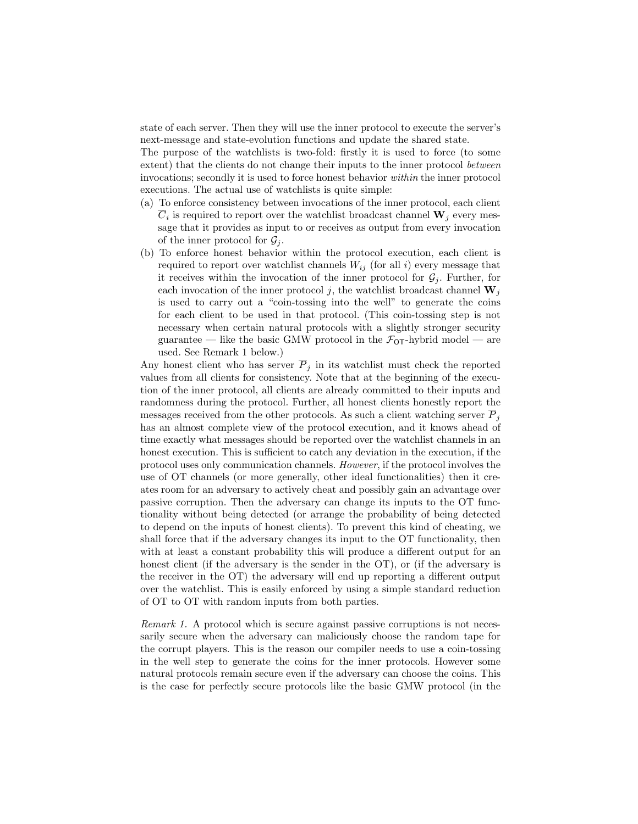state of each server. Then they will use the inner protocol to execute the server's next-message and state-evolution functions and update the shared state.

The purpose of the watchlists is two-fold: firstly it is used to force (to some extent) that the clients do not change their inputs to the inner protocol between invocations; secondly it is used to force honest behavior within the inner protocol executions. The actual use of watchlists is quite simple:

- (a) To enforce consistency between invocations of the inner protocol, each client  $C_i$  is required to report over the watchlist broadcast channel  $\mathbf{W}_j$  every message that it provides as input to or receives as output from every invocation of the inner protocol for  $\mathcal{G}_i$ .
- (b) To enforce honest behavior within the protocol execution, each client is required to report over watchlist channels  $W_{ij}$  (for all i) every message that it receives within the invocation of the inner protocol for  $G_i$ . Further, for each invocation of the inner protocol j, the watchlist broadcast channel  $W_j$ is used to carry out a "coin-tossing into the well" to generate the coins for each client to be used in that protocol. (This coin-tossing step is not necessary when certain natural protocols with a slightly stronger security guarantee — like the basic GMW protocol in the  $\mathcal{F}_{OT}$ -hybrid model — are used. See Remark 1 below.)

Any honest client who has server  $\overline{P}_j$  in its watchlist must check the reported values from all clients for consistency. Note that at the beginning of the execution of the inner protocol, all clients are already committed to their inputs and randomness during the protocol. Further, all honest clients honestly report the messages received from the other protocols. As such a client watching server  $\overline{P}_j$ has an almost complete view of the protocol execution, and it knows ahead of time exactly what messages should be reported over the watchlist channels in an honest execution. This is sufficient to catch any deviation in the execution, if the protocol uses only communication channels. However, if the protocol involves the use of OT channels (or more generally, other ideal functionalities) then it creates room for an adversary to actively cheat and possibly gain an advantage over passive corruption. Then the adversary can change its inputs to the OT functionality without being detected (or arrange the probability of being detected to depend on the inputs of honest clients). To prevent this kind of cheating, we shall force that if the adversary changes its input to the OT functionality, then with at least a constant probability this will produce a different output for an honest client (if the adversary is the sender in the OT), or (if the adversary is the receiver in the OT) the adversary will end up reporting a different output over the watchlist. This is easily enforced by using a simple standard reduction of OT to OT with random inputs from both parties.

Remark 1. A protocol which is secure against passive corruptions is not necessarily secure when the adversary can maliciously choose the random tape for the corrupt players. This is the reason our compiler needs to use a coin-tossing in the well step to generate the coins for the inner protocols. However some natural protocols remain secure even if the adversary can choose the coins. This is the case for perfectly secure protocols like the basic GMW protocol (in the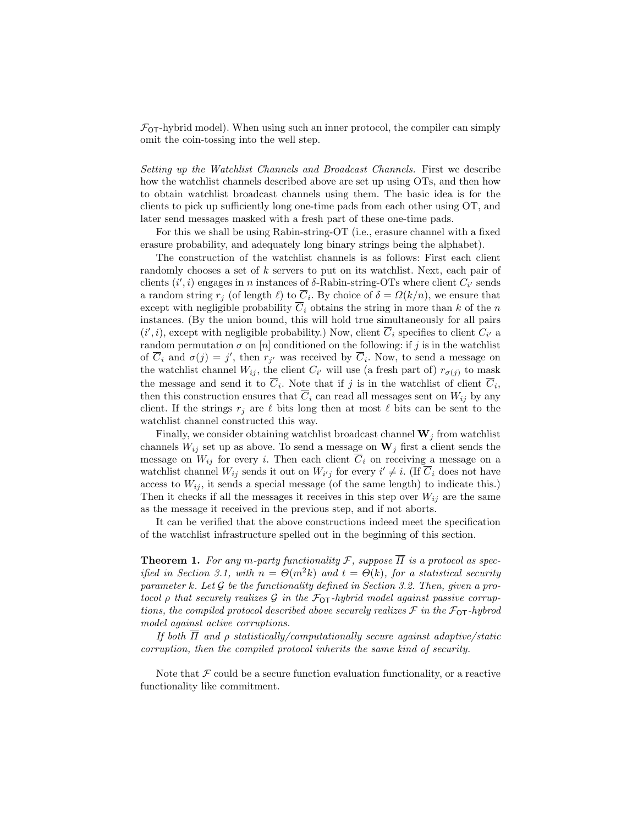$\mathcal{F}_{\text{OT}}$ -hybrid model). When using such an inner protocol, the compiler can simply omit the coin-tossing into the well step.

Setting up the Watchlist Channels and Broadcast Channels. First we describe how the watchlist channels described above are set up using OTs, and then how to obtain watchlist broadcast channels using them. The basic idea is for the clients to pick up sufficiently long one-time pads from each other using OT, and later send messages masked with a fresh part of these one-time pads.

For this we shall be using Rabin-string-OT (i.e., erasure channel with a fixed erasure probability, and adequately long binary strings being the alphabet).

The construction of the watchlist channels is as follows: First each client randomly chooses a set of k servers to put on its watchlist. Next, each pair of clients  $(i', i)$  engages in n instances of  $\delta$ -Rabin-string-OTs where client  $C_{i'}$  sends a random string  $r_j$  (of length  $\ell$ ) to  $C_i$ . By choice of  $\delta = \Omega(k/n)$ , we ensure that except with negligible probability  $\overline{C}_i$  obtains the string in more than k of the n instances. (By the union bound, this will hold true simultaneously for all pairs  $(i', i)$ , except with negligible probability.) Now, client  $\overline{C}_i$  specifies to client  $C_{i'}$  a random permutation  $\sigma$  on  $[n]$  conditioned on the following: if j is in the watchlist of  $\overline{C}_i$  and  $\sigma(j) = j'$ , then  $r_{j'}$  was received by  $\overline{C}_i$ . Now, to send a message on the watchlist channel  $W_{ij}$ , the client  $C_{i'}$  will use (a fresh part of)  $r_{\sigma(j)}$  to mask the message and send it to  $C_i$ . Note that if j is in the watchlist of client  $C_i$ , then this construction ensures that  $\overline{C}_i$  can read all messages sent on  $W_{ij}$  by any client. If the strings  $r_i$  are  $\ell$  bits long then at most  $\ell$  bits can be sent to the watchlist channel constructed this way.

Finally, we consider obtaining watchlist broadcast channel  $W_j$  from watchlist channels  $W_{ij}$  set up as above. To send a message on  $\mathbf{W}_j$  first a client sends the message on  $W_{ij}$  for every i. Then each client  $\overline{C}_i$  on receiving a message on a watch is the channel  $W_{ij}$  sends it out on  $W_{i'j}$  for every  $i' \neq i$ . (If  $\overline{C}_i$  does not have access to  $W_{ij}$ , it sends a special message (of the same length) to indicate this.) Then it checks if all the messages it receives in this step over  $W_{ij}$  are the same as the message it received in the previous step, and if not aborts.

It can be verified that the above constructions indeed meet the specification of the watchlist infrastructure spelled out in the beginning of this section.

**Theorem 1.** For any m-party functionality F, suppose  $\overline{\Pi}$  is a protocol as specified in Section 3.1, with  $n = \Theta(m^2k)$  and  $t = \Theta(k)$ , for a statistical security parameter k. Let  $\mathcal G$  be the functionality defined in Section 3.2. Then, given a protocol  $\rho$  that securely realizes  $\mathcal G$  in the  $\mathcal F_{\text{OT}}$ -hybrid model against passive corruptions, the compiled protocol described above securely realizes  $\mathcal F$  in the  $\mathcal F_{\text{OT}}$ -hybrod model against active corruptions.

If both  $\overline{\Pi}$  and  $\rho$  statistically/computationally secure against adaptive/static corruption, then the compiled protocol inherits the same kind of security.

Note that  $\mathcal F$  could be a secure function evaluation functionality, or a reactive functionality like commitment.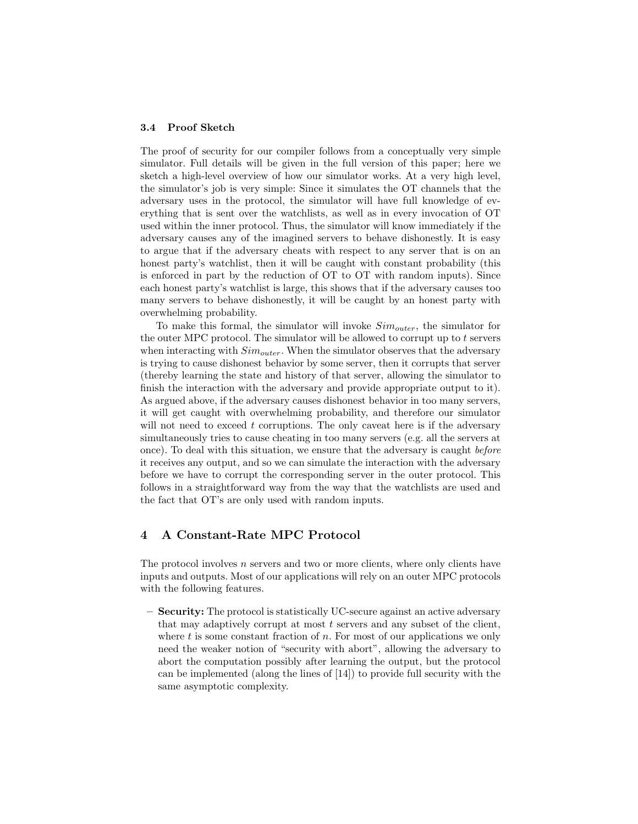#### 3.4 Proof Sketch

The proof of security for our compiler follows from a conceptually very simple simulator. Full details will be given in the full version of this paper; here we sketch a high-level overview of how our simulator works. At a very high level, the simulator's job is very simple: Since it simulates the OT channels that the adversary uses in the protocol, the simulator will have full knowledge of everything that is sent over the watchlists, as well as in every invocation of OT used within the inner protocol. Thus, the simulator will know immediately if the adversary causes any of the imagined servers to behave dishonestly. It is easy to argue that if the adversary cheats with respect to any server that is on an honest party's watchlist, then it will be caught with constant probability (this is enforced in part by the reduction of OT to OT with random inputs). Since each honest party's watchlist is large, this shows that if the adversary causes too many servers to behave dishonestly, it will be caught by an honest party with overwhelming probability.

To make this formal, the simulator will invoke  $Sim_{outer}$ , the simulator for the outer MPC protocol. The simulator will be allowed to corrupt up to  $t$  servers when interacting with  $Sim_{outer}$ . When the simulator observes that the adversary is trying to cause dishonest behavior by some server, then it corrupts that server (thereby learning the state and history of that server, allowing the simulator to finish the interaction with the adversary and provide appropriate output to it). As argued above, if the adversary causes dishonest behavior in too many servers, it will get caught with overwhelming probability, and therefore our simulator will not need to exceed t corruptions. The only caveat here is if the adversary simultaneously tries to cause cheating in too many servers (e.g. all the servers at once). To deal with this situation, we ensure that the adversary is caught before it receives any output, and so we can simulate the interaction with the adversary before we have to corrupt the corresponding server in the outer protocol. This follows in a straightforward way from the way that the watchlists are used and the fact that OT's are only used with random inputs.

# 4 A Constant-Rate MPC Protocol

The protocol involves *n* servers and two or more clients, where only clients have inputs and outputs. Most of our applications will rely on an outer MPC protocols with the following features.

– Security: The protocol is statistically UC-secure against an active adversary that may adaptively corrupt at most  $t$  servers and any subset of the client, where  $t$  is some constant fraction of  $n$ . For most of our applications we only need the weaker notion of "security with abort", allowing the adversary to abort the computation possibly after learning the output, but the protocol can be implemented (along the lines of [14]) to provide full security with the same asymptotic complexity.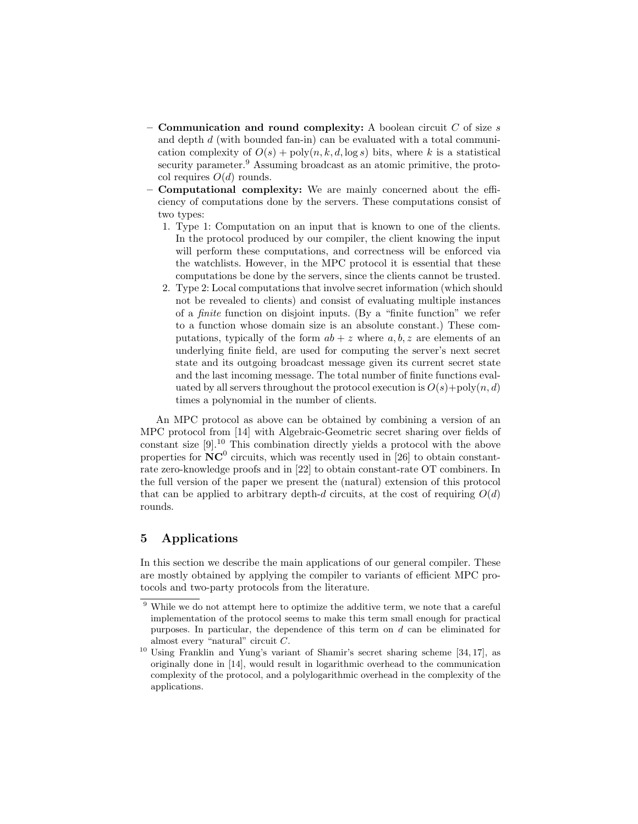- Communication and round complexity: A boolean circuit C of size s and depth d (with bounded fan-in) can be evaluated with a total communication complexity of  $O(s)$  + poly $(n, k, d, \log s)$  bits, where k is a statistical security parameter.<sup>9</sup> Assuming broadcast as an atomic primitive, the protocol requires  $O(d)$  rounds.
- Computational complexity: We are mainly concerned about the efficiency of computations done by the servers. These computations consist of two types:
	- 1. Type 1: Computation on an input that is known to one of the clients. In the protocol produced by our compiler, the client knowing the input will perform these computations, and correctness will be enforced via the watchlists. However, in the MPC protocol it is essential that these computations be done by the servers, since the clients cannot be trusted.
	- 2. Type 2: Local computations that involve secret information (which should not be revealed to clients) and consist of evaluating multiple instances of a finite function on disjoint inputs. (By a "finite function" we refer to a function whose domain size is an absolute constant.) These computations, typically of the form  $ab + z$  where  $a, b, z$  are elements of an underlying finite field, are used for computing the server's next secret state and its outgoing broadcast message given its current secret state and the last incoming message. The total number of finite functions evaluated by all servers throughout the protocol execution is  $O(s) + \text{poly}(n, d)$ times a polynomial in the number of clients.

An MPC protocol as above can be obtained by combining a version of an MPC protocol from [14] with Algebraic-Geometric secret sharing over fields of constant size [9].<sup>10</sup> This combination directly yields a protocol with the above properties for  $\mathbf{NC}^0$  circuits, which was recently used in [26] to obtain constantrate zero-knowledge proofs and in [22] to obtain constant-rate OT combiners. In the full version of the paper we present the (natural) extension of this protocol that can be applied to arbitrary depth-d circuits, at the cost of requiring  $O(d)$ rounds.

# 5 Applications

In this section we describe the main applications of our general compiler. These are mostly obtained by applying the compiler to variants of efficient MPC protocols and two-party protocols from the literature.

<sup>&</sup>lt;sup>9</sup> While we do not attempt here to optimize the additive term, we note that a careful implementation of the protocol seems to make this term small enough for practical purposes. In particular, the dependence of this term on d can be eliminated for almost every "natural" circuit C.

<sup>10</sup> Using Franklin and Yung's variant of Shamir's secret sharing scheme [34, 17], as originally done in [14], would result in logarithmic overhead to the communication complexity of the protocol, and a polylogarithmic overhead in the complexity of the applications.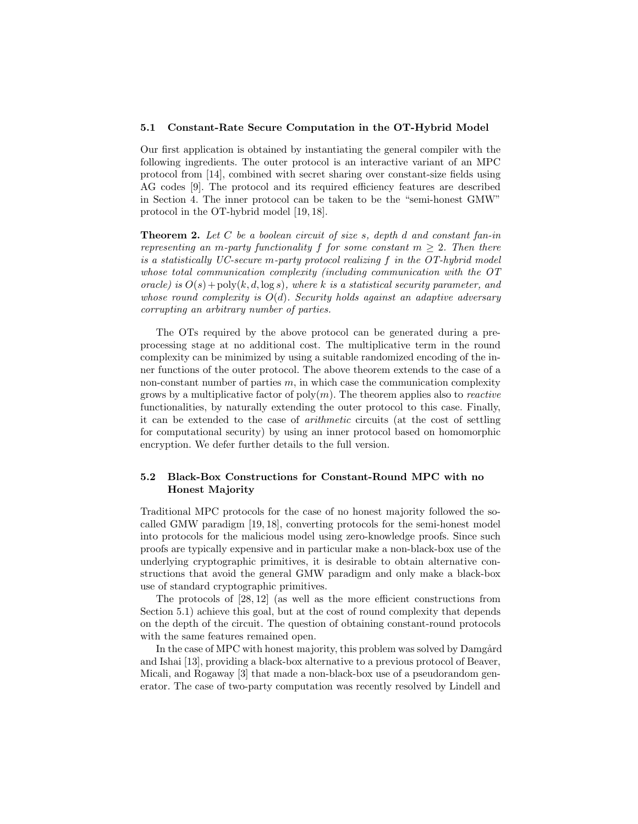#### 5.1 Constant-Rate Secure Computation in the OT-Hybrid Model

Our first application is obtained by instantiating the general compiler with the following ingredients. The outer protocol is an interactive variant of an MPC protocol from [14], combined with secret sharing over constant-size fields using AG codes [9]. The protocol and its required efficiency features are described in Section 4. The inner protocol can be taken to be the "semi-honest GMW" protocol in the OT-hybrid model [19, 18].

**Theorem 2.** Let  $C$  be a boolean circuit of size  $s$ , depth  $d$  and constant fan-in representing an m-party functionality f for some constant  $m \geq 2$ . Then there is a statistically UC-secure m-party protocol realizing f in the OT-hybrid model whose total communication complexity (including communication with the OT oracle) is  $O(s)$  + poly(k, d, log s), where k is a statistical security parameter, and whose round complexity is  $O(d)$ . Security holds against an adaptive adversary corrupting an arbitrary number of parties.

The OTs required by the above protocol can be generated during a preprocessing stage at no additional cost. The multiplicative term in the round complexity can be minimized by using a suitable randomized encoding of the inner functions of the outer protocol. The above theorem extends to the case of a non-constant number of parties  $m$ , in which case the communication complexity grows by a multiplicative factor of  $poly(m)$ . The theorem applies also to *reactive* functionalities, by naturally extending the outer protocol to this case. Finally, it can be extended to the case of arithmetic circuits (at the cost of settling for computational security) by using an inner protocol based on homomorphic encryption. We defer further details to the full version.

# 5.2 Black-Box Constructions for Constant-Round MPC with no Honest Majority

Traditional MPC protocols for the case of no honest majority followed the socalled GMW paradigm [19, 18], converting protocols for the semi-honest model into protocols for the malicious model using zero-knowledge proofs. Since such proofs are typically expensive and in particular make a non-black-box use of the underlying cryptographic primitives, it is desirable to obtain alternative constructions that avoid the general GMW paradigm and only make a black-box use of standard cryptographic primitives.

The protocols of [28, 12] (as well as the more efficient constructions from Section 5.1) achieve this goal, but at the cost of round complexity that depends on the depth of the circuit. The question of obtaining constant-round protocols with the same features remained open.

In the case of MPC with honest majority, this problem was solved by Damgård and Ishai [13], providing a black-box alternative to a previous protocol of Beaver, Micali, and Rogaway [3] that made a non-black-box use of a pseudorandom generator. The case of two-party computation was recently resolved by Lindell and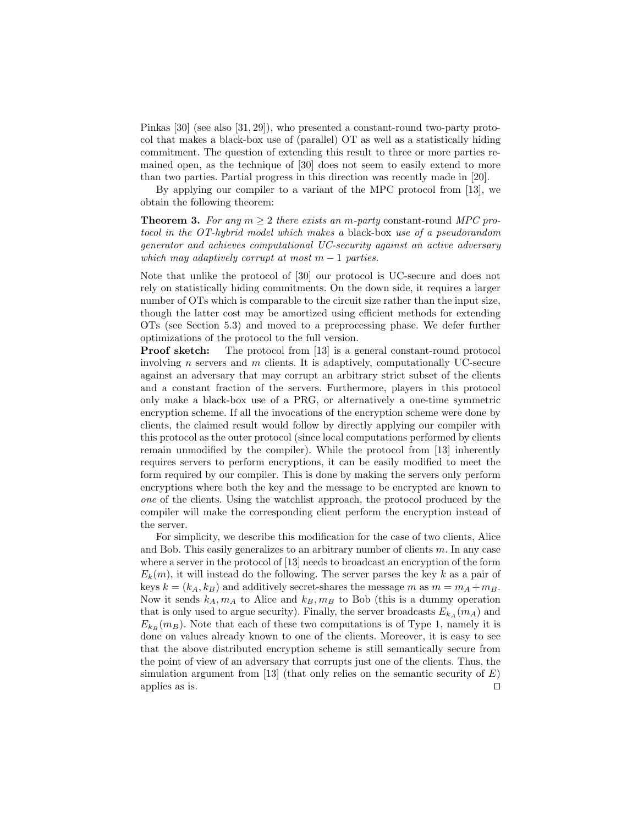Pinkas [30] (see also [31, 29]), who presented a constant-round two-party protocol that makes a black-box use of (parallel) OT as well as a statistically hiding commitment. The question of extending this result to three or more parties remained open, as the technique of [30] does not seem to easily extend to more than two parties. Partial progress in this direction was recently made in [20].

By applying our compiler to a variant of the MPC protocol from [13], we obtain the following theorem:

**Theorem 3.** For any  $m \geq 2$  there exists an m-party constant-round MPC protocol in the OT-hybrid model which makes a black-box use of a pseudorandom generator and achieves computational UC-security against an active adversary which may adaptively corrupt at most  $m-1$  parties.

Note that unlike the protocol of [30] our protocol is UC-secure and does not rely on statistically hiding commitments. On the down side, it requires a larger number of OTs which is comparable to the circuit size rather than the input size, though the latter cost may be amortized using efficient methods for extending OTs (see Section 5.3) and moved to a preprocessing phase. We defer further optimizations of the protocol to the full version.

**Proof sketch:** The protocol from [13] is a general constant-round protocol involving  $n$  servers and  $m$  clients. It is adaptively, computationally UC-secure against an adversary that may corrupt an arbitrary strict subset of the clients and a constant fraction of the servers. Furthermore, players in this protocol only make a black-box use of a PRG, or alternatively a one-time symmetric encryption scheme. If all the invocations of the encryption scheme were done by clients, the claimed result would follow by directly applying our compiler with this protocol as the outer protocol (since local computations performed by clients remain unmodified by the compiler). While the protocol from [13] inherently requires servers to perform encryptions, it can be easily modified to meet the form required by our compiler. This is done by making the servers only perform encryptions where both the key and the message to be encrypted are known to one of the clients. Using the watchlist approach, the protocol produced by the compiler will make the corresponding client perform the encryption instead of the server.

For simplicity, we describe this modification for the case of two clients, Alice and Bob. This easily generalizes to an arbitrary number of clients  $m$ . In any case where a server in the protocol of [13] needs to broadcast an encryption of the form  $E_k(m)$ , it will instead do the following. The server parses the key k as a pair of keys  $k = (k_A, k_B)$  and additively secret-shares the message m as  $m = m_A + m_B$ . Now it sends  $k_A, m_A$  to Alice and  $k_B, m_B$  to Bob (this is a dummy operation that is only used to argue security). Finally, the server broadcasts  $E_{k_A}(m_A)$  and  $E_{k_B}(m_B)$ . Note that each of these two computations is of Type 1, namely it is done on values already known to one of the clients. Moreover, it is easy to see that the above distributed encryption scheme is still semantically secure from the point of view of an adversary that corrupts just one of the clients. Thus, the simulation argument from [13] (that only relies on the semantic security of  $E$ ) applies as is.  $\Box$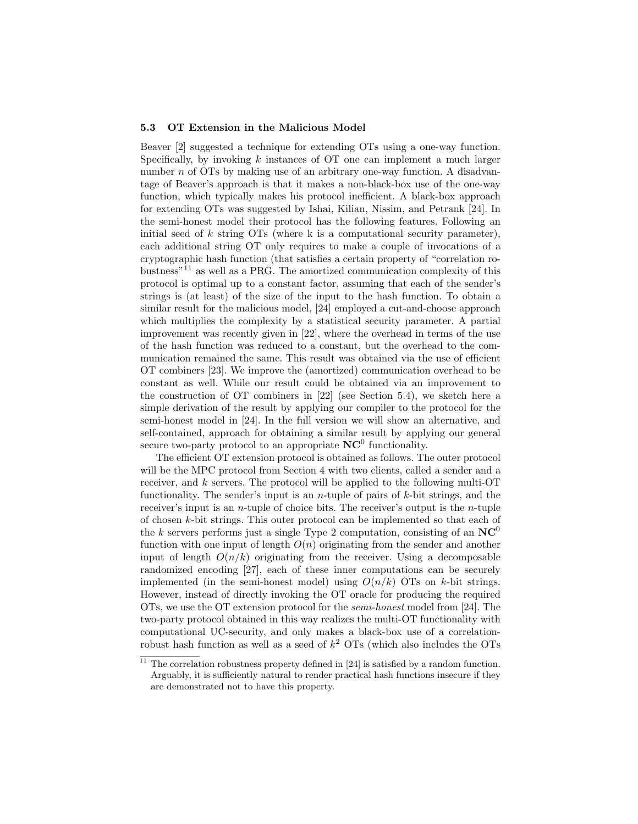#### 5.3 OT Extension in the Malicious Model

Beaver [2] suggested a technique for extending OTs using a one-way function. Specifically, by invoking  $k$  instances of  $\overline{OT}$  one can implement a much larger number n of OTs by making use of an arbitrary one-way function. A disadvantage of Beaver's approach is that it makes a non-black-box use of the one-way function, which typically makes his protocol inefficient. A black-box approach for extending OTs was suggested by Ishai, Kilian, Nissim, and Petrank [24]. In the semi-honest model their protocol has the following features. Following an initial seed of  $k$  string OTs (where  $k$  is a computational security parameter), each additional string OT only requires to make a couple of invocations of a cryptographic hash function (that satisfies a certain property of "correlation robustness"<sup>11</sup> as well as a PRG. The amortized communication complexity of this protocol is optimal up to a constant factor, assuming that each of the sender's strings is (at least) of the size of the input to the hash function. To obtain a similar result for the malicious model, [24] employed a cut-and-choose approach which multiplies the complexity by a statistical security parameter. A partial improvement was recently given in [22], where the overhead in terms of the use of the hash function was reduced to a constant, but the overhead to the communication remained the same. This result was obtained via the use of efficient OT combiners [23]. We improve the (amortized) communication overhead to be constant as well. While our result could be obtained via an improvement to the construction of OT combiners in [22] (see Section 5.4), we sketch here a simple derivation of the result by applying our compiler to the protocol for the semi-honest model in [24]. In the full version we will show an alternative, and self-contained, approach for obtaining a similar result by applying our general secure two-party protocol to an appropriate  $NC^0$  functionality.

The efficient OT extension protocol is obtained as follows. The outer protocol will be the MPC protocol from Section 4 with two clients, called a sender and a receiver, and k servers. The protocol will be applied to the following multi-OT functionality. The sender's input is an *n*-tuple of pairs of  $k$ -bit strings, and the receiver's input is an *n*-tuple of choice bits. The receiver's output is the *n*-tuple of chosen k-bit strings. This outer protocol can be implemented so that each of the k servers performs just a single Type 2 computation, consisting of an  $NC^0$ function with one input of length  $O(n)$  originating from the sender and another input of length  $O(n/k)$  originating from the receiver. Using a decomposable randomized encoding [27], each of these inner computations can be securely implemented (in the semi-honest model) using  $O(n/k)$  OTs on k-bit strings. However, instead of directly invoking the OT oracle for producing the required OTs, we use the OT extension protocol for the semi-honest model from [24]. The two-party protocol obtained in this way realizes the multi-OT functionality with computational UC-security, and only makes a black-box use of a correlationrobust hash function as well as a seed of  $k^2$  OTs (which also includes the OTs

 $11$  The correlation robustness property defined in [24] is satisfied by a random function. Arguably, it is sufficiently natural to render practical hash functions insecure if they are demonstrated not to have this property.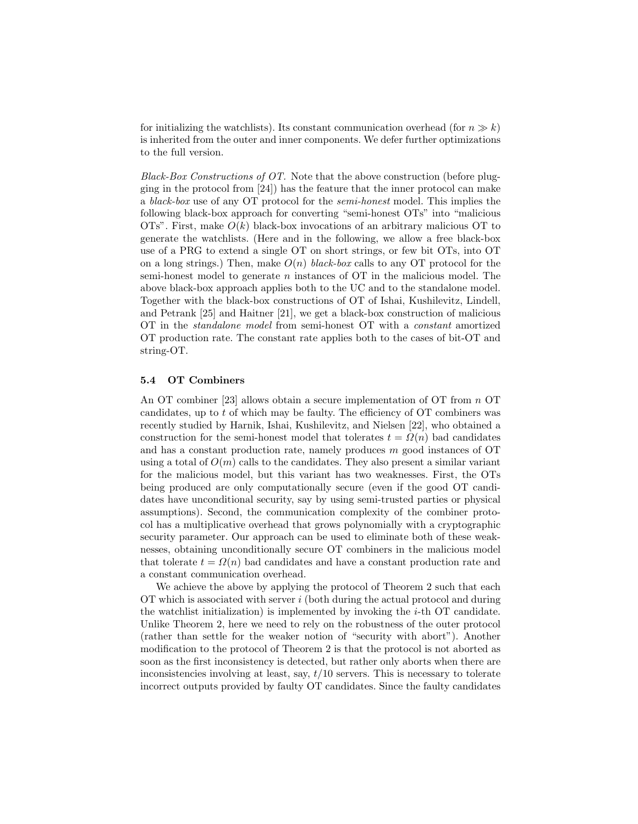for initializing the watchlists). Its constant communication overhead (for  $n \gg k$ ) is inherited from the outer and inner components. We defer further optimizations to the full version.

Black-Box Constructions of OT. Note that the above construction (before plugging in the protocol from [24]) has the feature that the inner protocol can make a black-box use of any OT protocol for the semi-honest model. This implies the following black-box approach for converting "semi-honest OTs" into "malicious OTs". First, make  $O(k)$  black-box invocations of an arbitrary malicious OT to generate the watchlists. (Here and in the following, we allow a free black-box use of a PRG to extend a single OT on short strings, or few bit OTs, into OT on a long strings.) Then, make  $O(n)$  black-box calls to any OT protocol for the semi-honest model to generate  $n$  instances of  $\overline{OT}$  in the malicious model. The above black-box approach applies both to the UC and to the standalone model. Together with the black-box constructions of OT of Ishai, Kushilevitz, Lindell, and Petrank [25] and Haitner [21], we get a black-box construction of malicious OT in the standalone model from semi-honest OT with a constant amortized OT production rate. The constant rate applies both to the cases of bit-OT and string-OT.

#### 5.4 OT Combiners

An OT combiner [23] allows obtain a secure implementation of OT from n OT candidates, up to  $t$  of which may be faulty. The efficiency of  $\overline{OT}$  combiners was recently studied by Harnik, Ishai, Kushilevitz, and Nielsen [22], who obtained a construction for the semi-honest model that tolerates  $t = \Omega(n)$  bad candidates and has a constant production rate, namely produces m good instances of OT using a total of  $O(m)$  calls to the candidates. They also present a similar variant for the malicious model, but this variant has two weaknesses. First, the OTs being produced are only computationally secure (even if the good OT candidates have unconditional security, say by using semi-trusted parties or physical assumptions). Second, the communication complexity of the combiner protocol has a multiplicative overhead that grows polynomially with a cryptographic security parameter. Our approach can be used to eliminate both of these weaknesses, obtaining unconditionally secure OT combiners in the malicious model that tolerate  $t = \Omega(n)$  bad candidates and have a constant production rate and a constant communication overhead.

We achieve the above by applying the protocol of Theorem 2 such that each OT which is associated with server  $i$  (both during the actual protocol and during the watchlist initialization) is implemented by invoking the  $i$ -th OT candidate. Unlike Theorem 2, here we need to rely on the robustness of the outer protocol (rather than settle for the weaker notion of "security with abort"). Another modification to the protocol of Theorem 2 is that the protocol is not aborted as soon as the first inconsistency is detected, but rather only aborts when there are inconsistencies involving at least, say,  $t/10$  servers. This is necessary to tolerate incorrect outputs provided by faulty OT candidates. Since the faulty candidates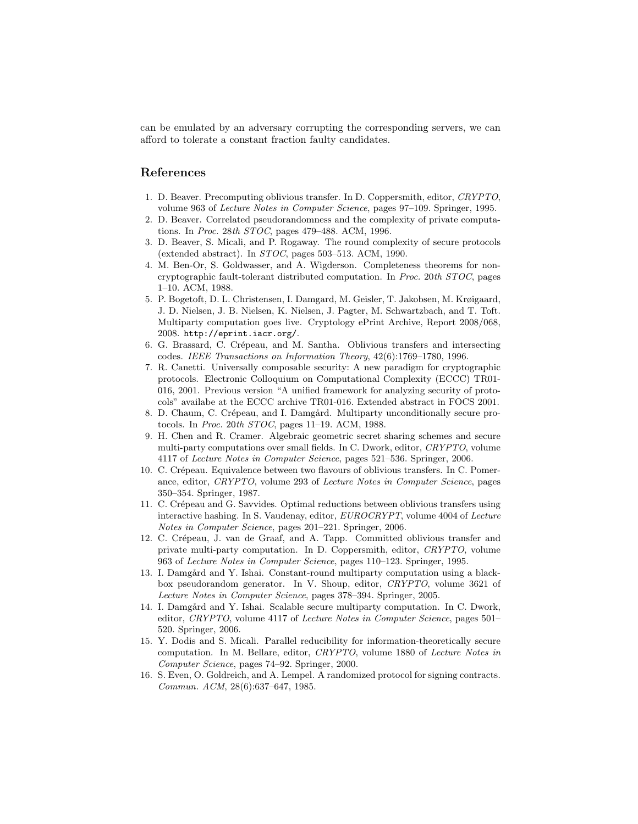can be emulated by an adversary corrupting the corresponding servers, we can afford to tolerate a constant fraction faulty candidates.

# References

- 1. D. Beaver. Precomputing oblivious transfer. In D. Coppersmith, editor, CRYPTO, volume 963 of Lecture Notes in Computer Science, pages 97–109. Springer, 1995.
- 2. D. Beaver. Correlated pseudorandomness and the complexity of private computations. In Proc. 28th STOC, pages 479–488. ACM, 1996.
- 3. D. Beaver, S. Micali, and P. Rogaway. The round complexity of secure protocols (extended abstract). In STOC, pages 503–513. ACM, 1990.
- 4. M. Ben-Or, S. Goldwasser, and A. Wigderson. Completeness theorems for noncryptographic fault-tolerant distributed computation. In Proc. 20th STOC, pages 1–10. ACM, 1988.
- 5. P. Bogetoft, D. L. Christensen, I. Damgard, M. Geisler, T. Jakobsen, M. Krøigaard, J. D. Nielsen, J. B. Nielsen, K. Nielsen, J. Pagter, M. Schwartzbach, and T. Toft. Multiparty computation goes live. Cryptology ePrint Archive, Report 2008/068, 2008. http://eprint.iacr.org/.
- 6. G. Brassard, C. Crépeau, and M. Santha. Oblivious transfers and intersecting codes. IEEE Transactions on Information Theory, 42(6):1769–1780, 1996.
- 7. R. Canetti. Universally composable security: A new paradigm for cryptographic protocols. Electronic Colloquium on Computational Complexity (ECCC) TR01- 016, 2001. Previous version "A unified framework for analyzing security of protocols" availabe at the ECCC archive TR01-016. Extended abstract in FOCS 2001.
- 8. D. Chaum, C. Crépeau, and I. Damgård. Multiparty unconditionally secure protocols. In Proc. 20th STOC, pages 11–19. ACM, 1988.
- 9. H. Chen and R. Cramer. Algebraic geometric secret sharing schemes and secure multi-party computations over small fields. In C. Dwork, editor, CRYPTO, volume 4117 of Lecture Notes in Computer Science, pages 521–536. Springer, 2006.
- 10. C. Crépeau. Equivalence between two flavours of oblivious transfers. In C. Pomerance, editor, CRYPTO, volume 293 of Lecture Notes in Computer Science, pages 350–354. Springer, 1987.
- 11. C. Crépeau and G. Savvides. Optimal reductions between oblivious transfers using interactive hashing. In S. Vaudenay, editor, EUROCRYPT, volume 4004 of Lecture Notes in Computer Science, pages 201–221. Springer, 2006.
- 12. C. Crépeau, J. van de Graaf, and A. Tapp. Committed oblivious transfer and private multi-party computation. In D. Coppersmith, editor, CRYPTO, volume 963 of Lecture Notes in Computer Science, pages 110–123. Springer, 1995.
- 13. I. Damgård and Y. Ishai. Constant-round multiparty computation using a blackbox pseudorandom generator. In V. Shoup, editor, CRYPTO, volume 3621 of Lecture Notes in Computer Science, pages 378–394. Springer, 2005.
- 14. I. Damgård and Y. Ishai. Scalable secure multiparty computation. In C. Dwork, editor, CRYPTO, volume 4117 of Lecture Notes in Computer Science, pages 501– 520. Springer, 2006.
- 15. Y. Dodis and S. Micali. Parallel reducibility for information-theoretically secure computation. In M. Bellare, editor, CRYPTO, volume 1880 of Lecture Notes in Computer Science, pages 74–92. Springer, 2000.
- 16. S. Even, O. Goldreich, and A. Lempel. A randomized protocol for signing contracts. Commun. ACM, 28(6):637–647, 1985.